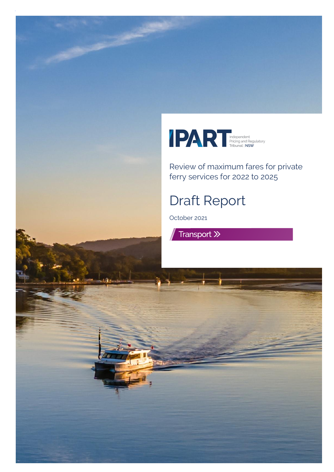

Review of maximum fares for private ferry services for 2022 to 2025

# Draft Report

October 2021

Transport >>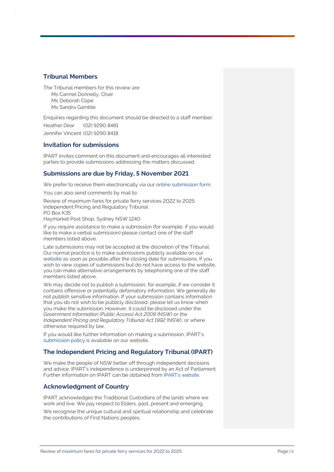#### **Tribunal Members**

The Tribunal members for this review are: Ms Carmel Donnelly, Chair Ms Deborah Cope Ms Sandra Gamble

Enquiries regarding this document should be directed to a staff member: Heather Dear (02) 9290 8481

Jennifer Vincent (02) 9290 8418

#### **Invitation for submissions**

IPART invites comment on this document and encourages all interested parties to provide submissions addressing the matters discussed.

#### **Submissions are due by Friday, 5 November 2021**

We prefer to receive them electronically via ou[r online submission form.](http://www.ipart.nsw.gov.au/Home/Consumer_Information/Lodge_a_submission)

You can also send comments by mail to:

Review of maximum fares for private ferry services 2022 to 2025 Independent Pricing and Regulatory Tribunal PO Box K35

Haymarket Post Shop, Sydney NSW 1240

If you require assistance to make a submission (for example, if you would like to make a verbal submission) please contact one of the staff members listed above.

Late submissions may not be accepted at the discretion of the Tribunal. Our normal practice is to make submissions publicly available on our [website](http://www.ipart.nsw.gov.au/) as soon as possible after the closing date for submissions. If you wish to view copies of submissions but do not have access to the website, you can make alternative arrangements by telephoning one of the staff members listed above.

We may decide not to publish a submission, for example, if we consider it contains offensive or potentially defamatory information. We generally do not publish sensitive information. If your submission contains information that you do not wish to be publicly disclosed, please let us know when you make the submission. However, it could be disclosed under the *Government Information (Public Access) Act 2009* (NSW) or the *Independent Pricing and Regulatory Tribunal Act 1992* (NSW), or where otherwise required by law.

If you would like further information on making a submission, IPART's [submission policy](https://www.ipart.nsw.gov.au/submissions-policy#:~:text=You%20should%20send%20us%20your,to%20accept%20a%20late%20submission.) is available on our website.

#### **The Independent Pricing and Regulatory Tribunal (IPART)**

We make the people of NSW better off through independent decisions and advice. IPART's independence is underpinned by an Act of Parliament. Further information on IPART can be obtained from [IPART's website](https://www.ipart.nsw.gov.au/Home).

#### **Acknowledgment of Country**

IPART acknowledges the Traditional Custodians of the lands where we work and live. We pay respect to Elders, past, present and emerging.

We recognise the unique cultural and spiritual relationship and celebrate the contributions of First Nations peoples.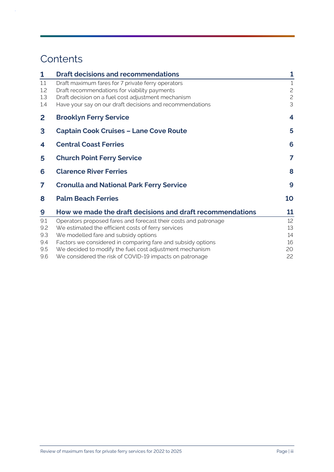# **Contents**

 $\hat{\boldsymbol{\beta}}$ 

| 1            | <b>Draft decisions and recommendations</b>                      | 1            |
|--------------|-----------------------------------------------------------------|--------------|
| 1.1          | Draft maximum fares for 7 private ferry operators               | $\mathbf{1}$ |
| 1.2          | Draft recommendations for viability payments                    | $\mathbf{Z}$ |
| 1.3          | Draft decision on a fuel cost adjustment mechanism              | $\mathbf{c}$ |
| 1.4          | Have your say on our draft decisions and recommendations        | 3            |
| $\mathbf{2}$ | <b>Brooklyn Ferry Service</b>                                   | 4            |
| 3            | <b>Captain Cook Cruises - Lane Cove Route</b>                   | 5            |
| 4            | <b>Central Coast Ferries</b>                                    | 6            |
| 5            | <b>Church Point Ferry Service</b>                               | 7            |
| 6            | <b>Clarence River Ferries</b>                                   | 8            |
| 7            | <b>Cronulla and National Park Ferry Service</b>                 | 9            |
| 8            | <b>Palm Beach Ferries</b>                                       | 10           |
| 9            | How we made the draft decisions and draft recommendations       | 11           |
| 9.1          | Operators proposed fares and forecast their costs and patronage | 12           |
| 9.2          | We estimated the efficient costs of ferry services              | 13           |
| 9.3          | We modelled fare and subsidy options                            | 14           |
| 9.4          | Factors we considered in comparing fare and subsidy options     | 16           |
| 9.5          | We decided to modify the fuel cost adjustment mechanism         | 20           |
| 9.6          | We considered the risk of COVID-19 impacts on patronage         | 22           |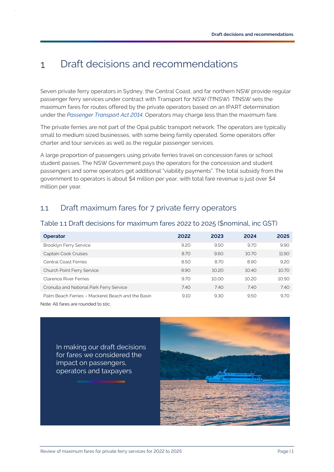#### <span id="page-3-0"></span>Draft decisions and recommendations  $\mathbf{1}$

Seven private ferry operators in Sydney, the Central Coast, and far northern NSW provide regular passenger ferry services under contract with Transport for NSW (TfNSW). TfNSW sets the maximum fares for routes offered by the private operators based on an IPART determination under the *[Passenger Transport Act 2014](https://www.legislation.nsw.gov.au/view/html/inforce/current/act-2014-046#sec.36)*. Operators may charge less than the maximum fare.

The private ferries are not part of the Opal public transport network. The operators are typically small to medium sized businesses, with some being family operated. Some operators offer charter and tour services as well as the regular passenger services.

A large proportion of passengers using private ferries travel on concession fares or school student passes. The NSW Government pays the operators for the concession and student passengers and some operators get additional "viability payments". The total subsidy from the government to operators is about \$4 million per year, with total fare revenue is just over \$4 million per year.

### <span id="page-3-1"></span>1.1 Draft maximum fares for 7 private ferry operators

#### <span id="page-3-2"></span>Table 1.1 Draft decisions for maximum fares 2022 to 2025 (\$nominal, inc GST)

| <b>Operator</b>                                   | 2022 | 2023  | 2024  | 2025  |
|---------------------------------------------------|------|-------|-------|-------|
| Brooklyn Ferry Service                            | 9.20 | 9.50  | 9.70  | 9.90  |
| Captain Cook Cruises                              | 8.70 | 9.60  | 10.70 | 11.90 |
| <b>Central Coast Ferries</b>                      | 8.50 | 8.70  | 8.90  | 9.20  |
| <b>Church Point Ferry Service</b>                 | 9.90 | 10.20 | 10.40 | 10.70 |
| Clarence River Ferries                            | 9.70 | 10.00 | 10.20 | 10.50 |
| Cronulla and National Park Ferry Service          | 7.40 | 7.40  | 7.40  | 7.40  |
| Palm Beach Ferries - Mackerel Beach and the Basin | 9.10 | 9.30  | 9.50  | 9.70  |

Note: All fares are rounded to 10c.

In making our draft decisions for fares we considered the impact on passengers, operators and taxpayers

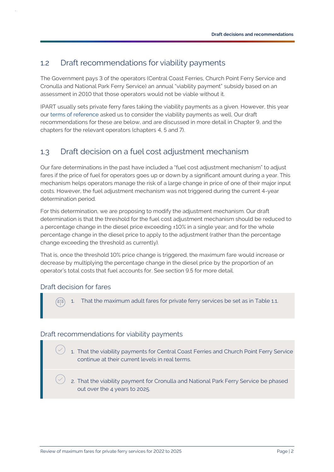### <span id="page-4-0"></span>1.2 Draft recommendations for viability payments

The Government pays 3 of the operators (Central Coast Ferries, Church Point Ferry Service and Cronulla and National Park Ferry Service) an annual "viability payment" subsidy based on an assessment in 2010 that those operators would not be viable without it.

IPART usually sets private ferry fares taking the viability payments as a given. However, this year our [terms of reference](https://www.ipart.nsw.gov.au/sites/default/files/documents/2021-05/terms-of-reference-review-of-fares-for-private-ferry-services-2022-to-2025.pdf) asked us to consider the viability payments as well. Our draft recommendations for these are below, and are discussed in more detail in Chapte[r 9,](#page-13-0) and the chapters for the relevant operators (chapters [4,](#page-8-0) [5](#page-9-0) and 7).

## <span id="page-4-1"></span>1.3 Draft decision on a fuel cost adjustment mechanism

Our fare determinations in the past have included a "fuel cost adjustment mechanism" to adjust fares if the price of fuel for operators goes up or down by a significant amount during a year. This mechanism helps operators manage the risk of a large change in price of one of their major input costs. However, the fuel adjustment mechanism was not triggered during the current 4-year determination period.

For this determination, we are proposing to modify the adjustment mechanism. Our draft determination is that the threshold for the fuel cost adjustment mechanism should be reduced to a percentage change in the diesel price exceeding ±10% in a single year; and for the whole percentage change in the diesel price to apply to the adjustment (rather than the percentage change exceeding the threshold as currently).

That is, once the threshold 10% price change is triggered, the maximum fare would increase or decrease by multiplying the percentage change in the diesel price by the proportion of an operator's total costs that fuel accounts for. See section [9.5](#page-22-0) for more detail.

### Draft decision for fares

1. That the maximum adult fares for private ferry services be set as in [Table 1.1.](#page-3-2)

### Draft recommendations for viability payments

- 1. That the viability payments for Central Coast Ferries and Church Point Ferry Service continue at their current levels in real terms.
- 2. That the viability payment for Cronulla and National Park Ferry Service be phased out over the 4 years to 2025.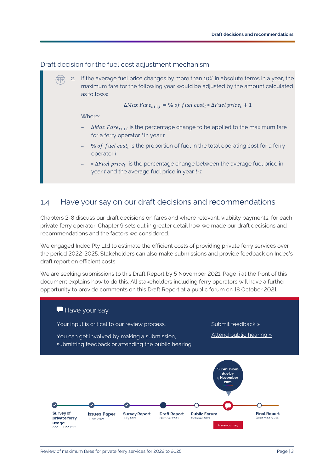Draft decision for the fuel cost adjustment mechanism

2. If the average fuel price changes by more than 10% in absolute terms in a year, the (ठाठ) maximum fare for the following year would be adjusted by the amount calculated as follows:

 $\Delta Max \, Fare_{t+1,i} = \%$  of fuel cost<sub>i</sub> \*  $\Delta Fuel \, price_t + 1$ 

Where:

- $\Delta Max\, Fare_{t+1,i}$  is the percentage change to be applied to the maximum fare for a ferry operator *i* in year *t*
- $\%$  *of fuel cost<sub>i</sub>* is the proportion of fuel in the total operating cost for a ferry operator *i*
- $-$  ∗∆ *Fuel price<sub>t</sub>* is the percentage change between the average fuel price in year *t* and the average fuel price in year *t-1*

### <span id="page-5-0"></span>1.4 Have your say on our draft decisions and recommendations

Chapters 2-8 discuss our draft decisions on fares and where relevant, viability payments, for each private ferry operator. Chapter 9 sets out in greater detail how we made our draft decisions and recommendations and the factors we considered.

We engaged Indec Pty Ltd to estimate the efficient costs of providing private ferry services over the period 2022-2025. Stakeholders can also make submissions and provide feedback on Indec's draft report [on efficient costs.](https://www.ipart.nsw.gov.au/sites/default/files/cm9_documents/Consultant-Report-Indec-IPART-Review-of-Private-Ferries-September-2021.PDF) 

We are seeking submissions to this [Draft Report](https://www.ipart.nsw.gov.au/sites/default/files/cm9_documents/Draft-Report-Review-of-Private-Ferries-fares-from-1-January-2022-October-2021.PDF) by 5 November 2021. Page ii at the front of this document explains how to do this. All stakeholders including ferry operators will have a further opportunity to provide comments on this Draft Report at a public forum on 18 October 2021.

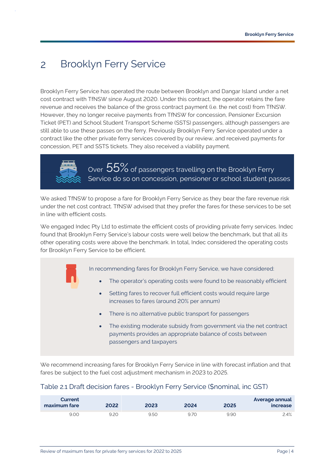#### <span id="page-6-0"></span>Brooklyn Ferry Service  $\overline{2}$

Brooklyn Ferry Service has operated the route between Brooklyn and Dangar Island under a net cost contract with TfNSW since August 2020. Under this contract, the operator retains the fare revenue and receives the balance of the gross contract payment (i.e. the net cost) from TfNSW. However, they no longer receive payments from TfNSW for concession, Pensioner Excursion Ticket (PET) and School Student Transport Scheme (SSTS) passengers, although passengers are still able to use these passes on the ferry. Previously Brooklyn Ferry Service operated under a contract like the other private ferry services covered by our review, and received payments for concession, PET and SSTS tickets. They also received a viability payment.



Over  $55\%$  of passengers travelling on the Brooklyn Ferry Service do so on concession, pensioner or school student passes

We asked TfNSW to propose a fare for Brooklyn Ferry Service as they bear the fare revenue risk under the net cost contract. TfNSW advised that they prefer the fares for these services to be set in line with efficient costs.

We engaged Indec Pty Ltd to estimate the efficient costs of providing private ferry services. Indec found that Brooklyn Ferry Service's labour costs were well below the benchmark, but that all its other operating costs were above the benchmark. In total, Indec considered the operating costs for Brooklyn Ferry Service to be efficient.

In recommending fares for Brooklyn Ferry Service, we have considered:

- The operator's operating costs were found to be reasonably efficient
- Setting fares to recover full efficient costs would require large increases to fares (around 20% per annum)
- There is no alternative public transport for passengers
- The existing moderate subsidy from government via the net contract payments provides an appropriate balance of costs between passengers and taxpayers

We recommend increasing fares for Brooklyn Ferry Service in line with forecast inflation and that fares be subject to the fuel cost adjustment mechanism in 2023 to 2025.

### Table 2.1 Draft decision fares - Brooklyn Ferry Service (\$nominal, inc GST)

| <b>Current</b><br>maximum fare | 2022 | 2023 | 2024 | 2025 | Average annual<br>increase |
|--------------------------------|------|------|------|------|----------------------------|
| 9.00                           | 9.2C | 9.50 | 9.70 | 9.90 | 2.4%                       |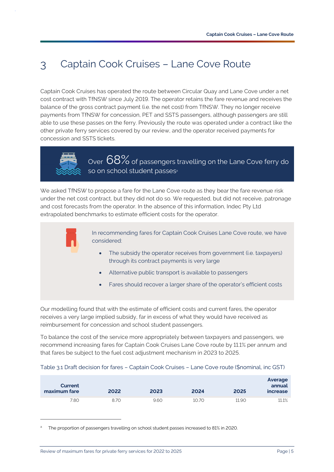#### <span id="page-7-0"></span>Captain Cook Cruises – Lane Cove Route  $\mathcal{B}$

Captain Cook Cruises has operated the route between Circular Quay and Lane Cove under a net cost contract with TfNSW since July 2019. The operator retains the fare revenue and receives the balance of the gross contract payment (i.e. the net cost) from TfNSW. They no longer receive payments from TfNSW for concession, PET and SSTS passengers, although passengers are still able to use these passes on the ferry. Previously the route was operated under a contract like the other private ferry services covered by our review, and the operator received payments for concession and SSTS tickets.



Over  $68\%$  of passengers travelling on the Lane Cove ferry do so on school student passes<sup>a</sup>

We asked TfNSW to propose a fare for the Lane Cove route as they bear the fare revenue risk under the net cost contract, but they did not do so. We requested, but did not receive, patronage and cost forecasts from the operator. In the absence of this information, Indec Pty Ltd extrapolated benchmarks to estimate efficient costs for the operator.



In recommending fares for Captain Cook Cruises Lane Cove route, we have considered:

- The subsidy the operator receives from government (i.e. taxpayers) through its contract payments is very large
- Alternative public transport is available to passengers
- Fares should recover a larger share of the operator's efficient costs

Our modelling found that with the estimate of efficient costs and current fares, the operator receives a very large implied subsidy, far in excess of what they would have received as reimbursement for concession and school student passengers.

To balance the cost of the service more appropriately between taxpayers and passengers, we recommend increasing fares for Captain Cook Cruises Lane Cove route by 11.1% per annum and that fares be subject to the fuel cost adjustment mechanism in 2023 to 2025.

#### Table 3.1 Draft decision for fares – Captain Cook Cruises – Lane Cove route (\$nominal, inc GST)

| Current<br>maximum fare | 2022 | 2023 | 2024  | 2025  | Average<br>annual<br>increase |
|-------------------------|------|------|-------|-------|-------------------------------|
| 7.80                    | 8.70 | 9.60 | 10.70 | 11.90 | 11.1%                         |

The proportion of passengers travelling on school student passes increased to 81% in 2020.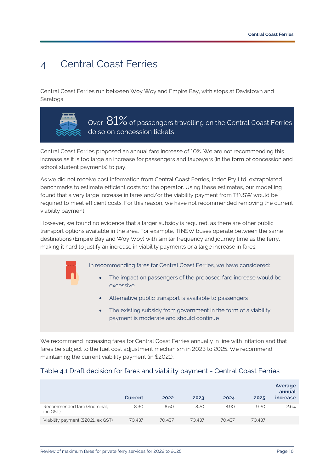#### <span id="page-8-0"></span>Central Coast Ferries  $\Delta$

Central Coast Ferries run between Woy Woy and Empire Bay, with stops at Davistown and Saratoga.



Over  $81\%$  of passengers travelling on the Central Coast Ferries do so on concession tickets

Central Coast Ferries proposed an annual fare increase of 10%. We are not recommending this increase as it is too large an increase for passengers and taxpayers (in the form of concession and school student payments) to pay.

As we did not receive cost information from Central Coast Ferries, Indec Pty Ltd, extrapolated benchmarks to estimate efficient costs for the operator. Using these estimates, our modelling found that a very large increase in fares and/or the viability payment from TfNSW would be required to meet efficient costs. For this reason, we have not recommended removing the current viability payment.

However, we found no evidence that a larger subsidy is required, as there are other public transport options available in the area. For example, TfNSW buses operate between the same destinations (Empire Bay and Woy Woy) with similar frequency and journey time as the ferry, making it hard to justify an increase in viability payments or a large increase in fares.

In recommending fares for Central Coast Ferries, we have considered:

- The impact on passengers of the proposed fare increase would be excessive
- Alternative public transport is available to passengers
- The existing subsidy from government in the form of a viability payment is moderate and should continue

We recommend increasing fares for Central Coast Ferries annually in line with inflation and that fares be subject to the fuel cost adjustment mechanism in 2023 to 2025. We recommend maintaining the current viability payment (in \$2021).

### Table 4.1 Draft decision for fares and viability payment - Central Coast Ferries

|                                          | Current | 2022   | 2023   | 2024   | 2025   | Average<br>annual<br><i>increase</i> |
|------------------------------------------|---------|--------|--------|--------|--------|--------------------------------------|
| Recommended fare (\$nominal,<br>inc GST) | 8.30    | 8.50   | 8.70   | 8.90   | 9.20   | 2.6%                                 |
| Viability payment (\$2021, ex GST)       | 70.437  | 70.437 | 70.437 | 70.437 | 70.437 |                                      |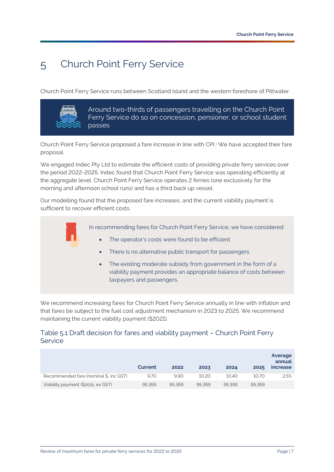#### <span id="page-9-0"></span>Church Point Ferry Service  $\overline{5}$

Church Point Ferry Service runs between Scotland Island and the western foreshore of Pittwater.



Around two-thirds of passengers travelling on the Church Point Ferry Service do so on concession, pensioner, or school student passes

Church Point Ferry Service proposed a fare increase in line with CPI.<sup>1</sup> We have accepted their fare proposal.

We engaged Indec Pty Ltd to estimate the efficient costs of providing private ferry services over the period 2022-2025. Indec found that Church Point Ferry Service was operating efficiently at the aggregate level. Church Point Ferry Service operates 2 ferries (one exclusively for the morning and afternoon school runs) and has a third back up vessel.

Our modelling found that the proposed fare increases, and the current viability payment is sufficient to recover efficient costs.

In recommending fares for Church Point Ferry Service, we have considered:

- The operator's costs were found to be efficient
	- There is no alternative public transport for passengers
- The existing moderate subsidy from government in the form of a viability payment provides an appropriate balance of costs between taxpayers and passengers.

We recommend increasing fares for Church Point Ferry Service annually in line with inflation and that fares be subject to the fuel cost adjustment mechanism in 2023 to 2025. We recommend maintaining the current viability payment (\$2021).

### Table 5.1 Draft decision for fares and viability payment – Church Point Ferry **Service**

|                                        | Current | 2022   | 2023   | 2024   | 2025   | Average<br>annual<br>increase |
|----------------------------------------|---------|--------|--------|--------|--------|-------------------------------|
| Recommended fare (nominal \$, inc GST) | 9.70    | 9.90   | 10.20  | 10.40  | 10.70  | 2.5%                          |
| Viability payment (\$2021, ex GST)     | 95.359  | 95.359 | 95.359 | 95.359 | 95.359 |                               |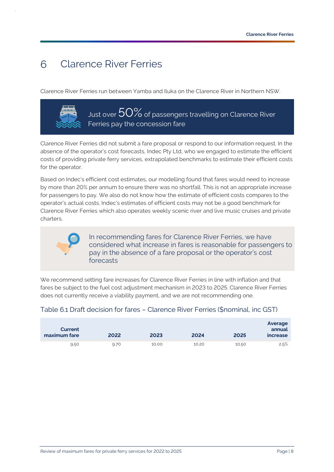#### <span id="page-10-0"></span>Clarence River Ferries  $6^{\circ}$

Clarence River Ferries run between Yamba and Iluka on the Clarence River in Northern NSW.



Just over  $50\%$  of passengers travelling on Clarence River Ferries pay the concession fare

Clarence River Ferries did not submit a fare proposal or respond to our information request. In the absence of the operator's cost forecasts, Indec Pty Ltd, who we engaged to estimate the efficient costs of providing private ferry services, extrapolated benchmarks to estimate their efficient costs for the operator.

Based on Indec's efficient cost estimates, our modelling found that fares would need to increase by more than 20% per annum to ensure there was no shortfall. This is not an appropriate increase for passengers to pay. We also do not know how the estimate of efficient costs compares to the operator's actual costs. Indec's estimates of efficient costs may not be a good benchmark for Clarence River Ferries which also operates weekly scenic river and live music cruises and private charters.



In recommending fares for Clarence River Ferries, we have considered what increase in fares is reasonable for passengers to pay in the absence of a fare proposal or the operator's cost forecasts

We recommend setting fare increases for Clarence River Ferries in line with inflation and that fares be subject to the fuel cost adjustment mechanism in 2023 to 2025. Clarence River Ferries does not currently receive a viability payment, and we are not recommending one.

### Table 6.1 Draft decision for fares – Clarence River Ferries (\$nominal, inc GST)

| Current<br>maximum fare | 2022 | 2023  | 2024  | 2025  | Average<br>annual<br><i>increase</i> |
|-------------------------|------|-------|-------|-------|--------------------------------------|
| 9.50                    | 9.70 | 10.00 | 10.20 | 10.50 | 2.5%                                 |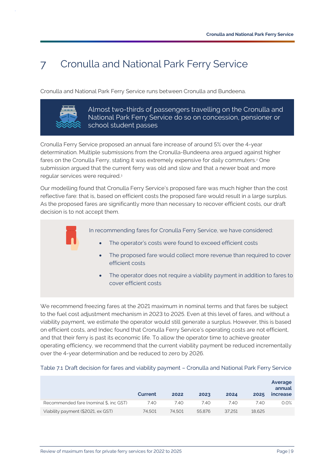#### <span id="page-11-0"></span>Cronulla and National Park Ferry Service  $7<sup>1</sup>$

Cronulla and National Park Ferry Service runs between Cronulla and Bundeena.



Almost two-thirds of passengers travelling on the Cronulla and National Park Ferry Service do so on concession, pensioner or school student passes

Cronulla Ferry Service proposed an annual fare increase of around 5% over the 4-year determination. Multiple submissions from the Cronulla-Bundeena area argued against higher fares on the Cronulla Ferry, stating it was extremely expensive for daily commuters.<sup>2</sup> One submission argued that the current ferry was old and slow and that a newer boat and more regular services were required. 3

Our modelling found that Cronulla Ferry Service's proposed fare was much higher than the cost reflective fare: that is, based on efficient costs the proposed fare would result in a large surplus. As the proposed fares are significantly more than necessary to recover efficient costs, our draft decision is to not accept them.

In recommending fares for Cronulla Ferry Service, we have considered:

- The operator's costs were found to exceed efficient costs
- The proposed fare would collect more revenue than required to cover efficient costs
- The operator does not require a viability payment in addition to fares to cover efficient costs

We recommend freezing fares at the 2021 maximum in nominal terms and that fares be subject to the fuel cost adjustment mechanism in 2023 to 2025. Even at this level of fares, and without a viability payment, we estimate the operator would still generate a surplus. However, this is based on efficient costs, and Indec found that Cronulla Ferry Service's operating costs are not efficient, and that their ferry is past its economic life. To allow the operator time to achieve greater operating efficiency, we recommend that the current viability payment be reduced incrementally over the 4-year determination and be reduced to zero by 2026.

|                                        | Current | 2022   | 2023   | 2024   | 2025   | Average<br>annual<br><i>increase</i> |
|----------------------------------------|---------|--------|--------|--------|--------|--------------------------------------|
| Recommended fare (nominal \$, inc GST) | 7.40    | 7.40   | 7.40   | 7.40   | 7.40   | 0.0%                                 |
| Viability payment (\$2021, ex GST)     | 74.501  | 74.501 | 55.876 | 37.251 | 18.625 |                                      |

#### Table 7.1 Draft decision for fares and viability payment – Cronulla and National Park Ferry Service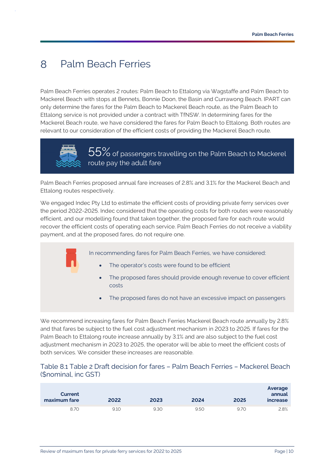#### <span id="page-12-0"></span> $8<sup>°</sup>$ Palm Beach Ferries

Palm Beach Ferries operates 2 routes: Palm Beach to Ettalong via Wagstaffe and Palm Beach to Mackerel Beach with stops at Bennets, Bonnie Doon, the Basin and Currawong Beach. IPART can only determine the fares for the Palm Beach to Mackerel Beach route, as the Palm Beach to Ettalong service is not provided under a contract with TfNSW. In determining fares for the Mackerel Beach route, we have considered the fares for Palm Beach to Ettalong. Both routes are relevant to our consideration of the efficient costs of providing the Mackerel Beach route.



55% of passengers travelling on the Palm Beach to Mackerel route pay the adult fare

Palm Beach Ferries proposed annual fare increases of 2.8% and 3.1% for the Mackerel Beach and Ettalong routes respectively.

We engaged Indec Pty Ltd to estimate the efficient costs of providing private ferry services over the period 2022-2025. Indec considered that the operating costs for both routes were reasonably efficient, and our modelling found that taken together, the proposed fare for each route would recover the efficient costs of operating each service. Palm Beach Ferries do not receive a viability payment, and at the proposed fares, do not require one.

In recommending fares for Palm Beach Ferries, we have considered:

- The operator's costs were found to be efficient
- The proposed fares should provide enough revenue to cover efficient costs
- The proposed fares do not have an excessive impact on passengers

We recommend increasing fares for Palm Beach Ferries Mackerel Beach route annually by 2.8% and that fares be subject to the fuel cost adjustment mechanism in 2023 to 2025. If fares for the Palm Beach to Ettalong route increase annually by 3.1% and are also subject to the fuel cost adjustment mechanism in 2023 to 2025, the operator will be able to meet the efficient costs of both services. We consider these increases are reasonable.

#### Table 8.1 Table 2 Draft decision for fares – Palm Beach Ferries – Mackerel Beach (\$nominal, inc GST)

| Current<br>maximum fare | 2022 | 2023 | 2024 | 2025 | Average<br>annual<br><i>increase</i> |
|-------------------------|------|------|------|------|--------------------------------------|
| 8.70                    | 9.10 | 9.30 | 9.50 | 9.70 | 2.8%                                 |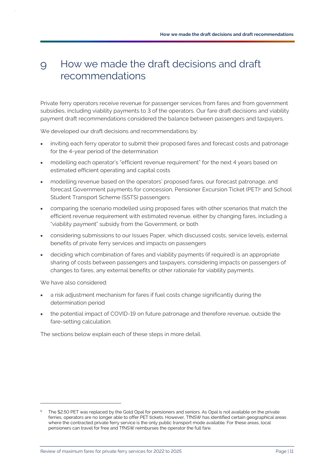#### <span id="page-13-0"></span>How we made the draft decisions and draft  $\overline{Q}$ recommendations

Private ferry operators receive revenue for passenger services from fares and from government subsidies, including viability payments to 3 of the operators. Our fare draft decisions and viability payment draft recommendations considered the balance between passengers and taxpayers.

We developed our draft decisions and recommendations by:

- inviting each ferry operator to submit their proposed fares and forecast costs and patronage for the 4-year period of the determination
- modelling each operator's "efficient revenue requirement" for the next 4 years based on estimated efficient operating and capital costs
- modelling revenue based on the operators' proposed fares, our forecast patronage, and forecast Government payments for concession, Pensioner Excursion Ticket (PET)<sup>b</sup> and School Student Transport Scheme (SSTS) passengers
- comparing the scenario modelled using proposed fares with other scenarios that match the efficient revenue requirement with estimated revenue, either by changing fares, including a "viability payment" subsidy from the Government, or both
- considering submissions to our Issues Paper, which discussed costs, service levels, external benefits of private ferry services and impacts on passengers
- deciding which combination of fares and viability payments (if required) is an appropriate sharing of costs between passengers and taxpayers, considering impacts on passengers of changes to fares, any external benefits or other rationale for viability payments.

We have also considered:

- a risk adjustment mechanism for fares if fuel costs change significantly during the determination period
- the potential impact of COVID-19 on future patronage and therefore revenue, outside the fare-setting calculation.

The sections below explain each of these steps in more detail.

b The \$2.50 PET was replaced by the Gold Opal for pensioners and seniors. As Opal is not available on the private ferries, operators are no longer able to offer PET tickets. However, TfNSW has identified certain geographical areas where the contracted private ferry service is the only public transport mode available. For these areas, local pensioners can travel for free and TfNSW reimburses the operator the full fare.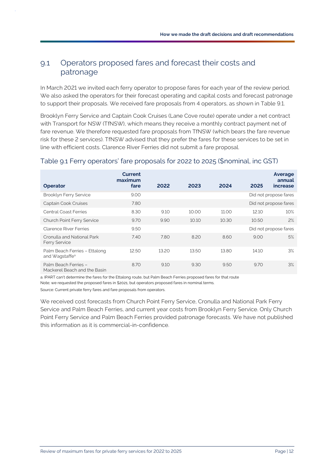### <span id="page-14-0"></span>9.1 Operators proposed fares and forecast their costs and patronage

In March 2021 we invited each ferry operator to propose fares for each year of the review period. We also asked the operators for their forecast operating and capital costs and forecast patronage to support their proposals. We received fare proposals from 4 operators, as shown in [Table 9.1.](#page-14-1)

Brooklyn Ferry Service and Captain Cook Cruises (Lane Cove route) operate under a net contract with Transport for NSW (TfNSW), which means they receive a monthly contract payment net of fare revenue. We therefore requested fare proposals from TfNSW (which bears the fare revenue risk for these 2 services). TfNSW advised that they prefer the fares for these services to be set in line with efficient costs. Clarence River Ferries did not submit a fare proposal.

### <span id="page-14-1"></span>Table 9.1 Ferry operators' fare proposals for 2022 to 2025 (\$nominal, inc GST)

| <b>Operator</b>                                             | <b>Current</b><br>maximum<br>fare | 2022  | 2023  | 2024  | 2025  | Average<br>annual<br>increase |
|-------------------------------------------------------------|-----------------------------------|-------|-------|-------|-------|-------------------------------|
| <b>Brooklyn Ferry Service</b>                               | 9.00                              |       |       |       |       | Did not propose fares         |
| Captain Cook Cruises                                        | 7.80                              |       |       |       |       | Did not propose fares         |
| <b>Central Coast Ferries</b>                                | 8.30                              | 9.10  | 10.00 | 11.00 | 12.10 | 10%                           |
| <b>Church Point Ferry Service</b>                           | 9.70                              | 9.90  | 10.10 | 10.30 | 10.50 | 2%                            |
| <b>Clarence River Ferries</b>                               | 9.50                              |       |       |       |       | Did not propose fares         |
| Cronulla and National Park<br><b>Ferry Service</b>          | 7.40                              | 7.80  | 8.20  | 8.60  | 9.00  | 5%                            |
| Palm Beach Ferries - Ettalong<br>and Wagstaffe <sup>a</sup> | 12.50                             | 13.20 | 13.50 | 13.80 | 14.10 | 3%                            |
| Palm Beach Ferries -<br>Mackerel Beach and the Basin        | 8.70                              | 9.10  | 9.30  | 9.50  | 9.70  | 3%                            |

Mackerel Beach and the Basin

a. IPART can't determine the fares for the Ettalong route, but Palm Beach Ferries proposed fares for that route

Note; we requested the proposed fares in \$2021, but operators proposed fares in nominal terms.

Source[: Current private ferry fares](https://www.ipart.nsw.gov.au/Home/Industries/Transport/Transport-Fares/Current-Private-Ferries-Fares) and fare proposals from operators.

We received cost forecasts from Church Point Ferry Service, Cronulla and National Park Ferry Service and Palm Beach Ferries, and current year costs from Brooklyn Ferry Service. Only Church Point Ferry Service and Palm Beach Ferries provided patronage forecasts. We have not published this information as it is commercial-in-confidence.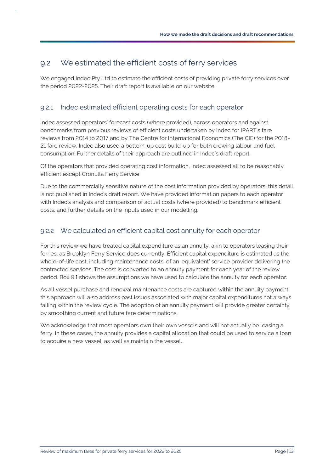### <span id="page-15-0"></span>9.2 We estimated the efficient costs of ferry services

We engaged Indec Pty Ltd to estimate the efficient costs of providing private ferry services over the period 2022-2025. Their [draft report](https://www.ipart.nsw.gov.au/sites/default/files/cm9_documents/Consultant-Report-Indec-IPART-Review-of-Private-Ferries-September-2021.PDF) is available on our [website.](https://www.ipart.nsw.gov.au/Home/Industries/Transport/Reviews/Private-Ferries/Review-of-Private-Ferries-fares-from-1-January-2022)

### 9.2.1 Indec estimated efficient operating costs for each operator

Indec assessed operators' forecast costs (where provided), across operators and against benchmarks from previous reviews of efficient costs undertaken by Indec for IPART's fare reviews from 2014 to 2017 and by The Centre for International Economics (The CIE) for the 2018- 21 fare review. Indec also used a bottom-up cost build-up for both crewing labour and fuel consumption. Further details of their approach are outlined in Indec's draft report.

Of the operators that provided operating cost information, Indec assessed all to be reasonably efficient except Cronulla Ferry Service.

Due to the commercially sensitive nature of the cost information provided by operators, this detail is not published in Indec's draft report. We have provided information papers to each operator with Indec's analysis and comparison of actual costs (where provided) to benchmark efficient costs, and further details on the inputs used in our modelling.

### 9.2.2 We calculated an efficient capital cost annuity for each operator

For this review we have treated capital expenditure as an annuity, akin to operators leasing their ferries, as Brooklyn Ferry Service does currently. Efficient capital expenditure is estimated as the whole-of-life cost, including maintenance costs, of an 'equivalent' service provider delivering the contracted services. The cost is converted to an annuity payment for each year of the review period. [Box 9.1](#page-16-1) shows the assumptions we have used to calculate the annuity for each operator.

As all vessel purchase and renewal maintenance costs are captured within the annuity payment, this approach will also address past issues associated with major capital expenditures not always falling within the review cycle. The adoption of an annuity payment will provide greater certainty by smoothing current and future fare determinations.

We acknowledge that most operators own their own vessels and will not actually be leasing a ferry. In these cases, the annuity provides a capital allocation that could be used to service a loan to acquire a new vessel, as well as maintain the vessel.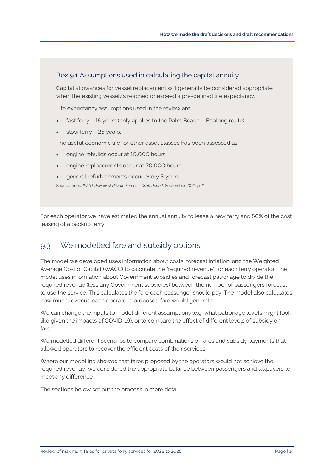### <span id="page-16-1"></span>Box 9.1 Assumptions used in calculating the capital annuity

Capital allowances for vessel replacement will generally be considered appropriate when the existing vessel/s reached or exceed a pre-defined life expectancy.

Life expectancy assumptions used in the review are:

- fast ferry 15 years (only applies to the Palm Beach Ettalong route)
- slow ferry 25 years.

The useful economic life for other asset classes has been assessed as:

- engine rebuilds occur at 10,000 hours
- engine replacements occur at 20,000 hours
- general refurbishments occur every 3 years

Source: Indec, *IPART Review of Private Ferries* – *Draft Report,* September 2021, p 21.

For each operator we have estimated the annual annuity to lease a new ferry and 50% of the cost leasing of a backup ferry.

### <span id="page-16-0"></span>9.3 We modelled fare and subsidy options

The model we developed uses information about costs, forecast inflation, and the Weighted Average Cost of Capital (WACC) to calculate the "required revenue" for each ferry operator. The model uses information about Government subsidies and forecast patronage to divide the required revenue (less any Government subsidies) between the number of passengers forecast to use the service. This calculates the fare each passenger should pay. The model also calculates how much revenue each operator's proposed fare would generate.

We can change the inputs to model different assumptions (e.g. what patronage levels might look like given the impacts of COVID-19), or to compare the effect of different levels of subsidy on fares.

We modelled different scenarios to compare combinations of fares and subsidy payments that allowed operators to recover the efficient costs of their services.

Where our modelling showed that fares proposed by the operators would not achieve the required revenue, we considered the appropriate balance between passengers and taxpayers to meet any difference.

The sections below set out the process in more detail.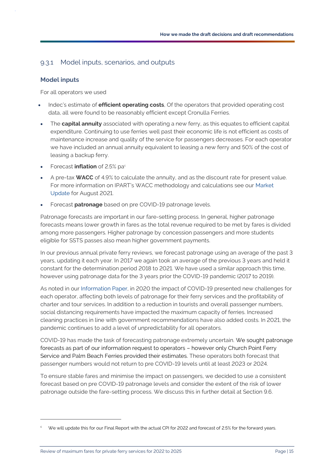#### 9.3.1 Model inputs, scenarios, and outputs

#### **Model inputs**

For all operators we used

- Indec's estimate of **efficient operating costs**, Of the operators that provided operating cost data, all were found to be reasonably efficient except Cronulla Ferries.
- The **capital annuity** associated with operating a new ferry, as this equates to efficient capital expenditure. Continuing to use ferries well past their economic life is not efficient as costs of maintenance increase and quality of the service for passengers decreases. For each operator we have included an annual annuity equivalent to leasing a new ferry and 50% of the cost of leasing a backup ferry.
- Forecast **inflation** of 2.5% pac
- A pre-tax **WACC** of 4.9% to calculate the annuity, and as the discount rate for present value. For more information on IPART's WACC methodology and calculations see our [Market](https://www.ipart.nsw.gov.au/Home/Industries/Special-Reviews/Regulatory-policy/Market-Update)  [Update](https://www.ipart.nsw.gov.au/Home/Industries/Special-Reviews/Regulatory-policy/Market-Update) for August 2021.
- Forecast **patronage** based on pre COVID-19 patronage levels.

Patronage forecasts are important in our fare-setting process. In general, higher patronage forecasts means lower growth in fares as the total revenue required to be met by fares is divided among more passengers. Higher patronage by concession passengers and more students eligible for SSTS passes also mean higher government payments.

In our previous annual private ferry reviews, we forecast patronage using an average of the past 3 years, updating it each year. In 2017 we again took an average of the previous 3 years and held it constant for the determination period 2018 to 2021. We have used a similar approach this time, however using patronage data for the 3 years prior the COVID-19 pandemic (2017 to 2019).

As noted in our [Information Paper,](https://www.ipart.nsw.gov.au/sites/default/files/cm9_documents/Information-Paper-Private-Ferries-fares-for-2021.PDF) in 2020 the impact of COVID-19 presented new challenges for each operator, affecting both levels of patronage for their ferry services and the profitability of charter and tour services. In addition to a reduction in tourists and overall passenger numbers, social distancing requirements have impacted the maximum capacity of ferries. Increased cleaning practices in line with government recommendations have also added costs. In 2021, the pandemic continues to add a level of unpredictability for all operators.

COVID-19 has made the task of forecasting patronage extremely uncertain. We sought patronage forecasts as part of our information request to operators – however only Church Point Ferry Service and Palm Beach Ferries provided their estimates. These operators both forecast that passenger numbers would not return to pre COVID-19 levels until at least 2023 or 2024.

To ensure stable fares and minimise the impact on passengers, we decided to use a consistent forecast based on pre COVID-19 patronage levels and consider the extent of the risk of lower patronage outside the fare-setting process. We discuss this in further detail at Sectio[n 9.6.](#page-24-0)

We will update this for our Final Report with the actual CPI for 2022 and forecast of 2.5% for the forward years.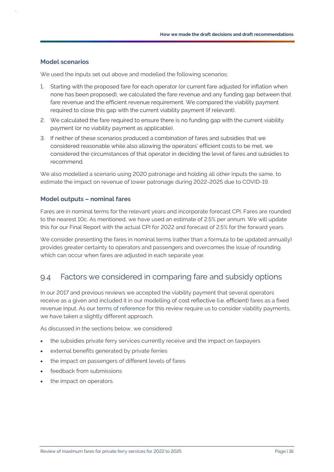#### **Model scenarios**

We used the inputs set out above and modelled the following scenarios:

- 1. Starting with the proposed fare for each operator (or current fare adjusted for inflation when none has been proposed), we calculated the fare revenue and any funding gap between that fare revenue and the efficient revenue requirement. We compared the viability payment required to close this gap with the current viability payment (if relevant).
- 2. We calculated the fare required to ensure there is no funding gap with the current viability payment (or no viability payment as applicable).
- 3. If neither of these scenarios produced a combination of fares and subsidies that we considered reasonable while also allowing the operators' efficient costs to be met, we considered the circumstances of that operator in deciding the level of fares and subsidies to recommend.

We also modelled a scenario using 2020 patronage and holding all other inputs the same, to estimate the impact on revenue of lower patronage during 2022-2025 due to COVID-19.

#### **Model outputs – nominal fares**

Fares are in nominal terms for the relevant years and incorporate forecast CPI. Fares are rounded to the nearest 10c. As mentioned, we have used an estimate of 2.5% per annum. We will update this for our Final Report with the actual CPI for 2022 and forecast of 2.5% for the forward years.

We consider presenting the fares in nominal terms (rather than a formula to be updated annually) provides greater certainty to operators and passengers and overcomes the issue of rounding which can occur when fares are adjusted in each separate year.

### <span id="page-18-0"></span>9.4 Factors we considered in comparing fare and subsidy options

In our 2017 and previous reviews we accepted the viability payment that several operators receive as a given and included it in our modelling of cost reflective (i.e. efficient) fares as a fixed revenue input. As our [terms of reference](https://www.ipart.nsw.gov.au/sites/default/files/documents/2021-05/terms-of-reference-review-of-fares-for-private-ferry-services-2022-to-2025.pdf) for this review require us to consider viability payments, we have taken a slightly different approach.

As discussed in the sections below, we considered:

- the subsidies private ferry services currently receive and the impact on taxpayers
- external benefits generated by private ferries
- the impact on passengers of different levels of fares
- feedback from submissions
- the impact on operators.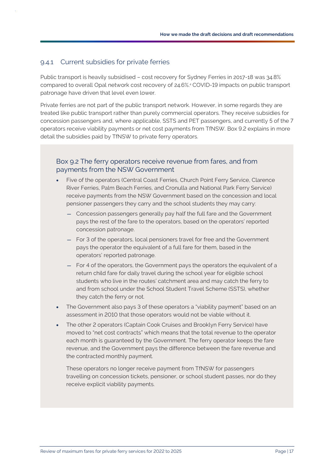#### 9.4.1 Current subsidies for private ferries

Public transport is heavily subsidised – cost recovery for Sydney Ferries in 2017-18 was 34.8% compared to overall Opal network cost recovery of 24.6%.<sup>4</sup> COVID-19 impacts on public transport patronage have driven that level even lower.

Private ferries are not part of the public transport network. However, in some regards they are treated like public transport rather than purely commercial operators. They receive subsidies for concession passengers and, where applicable, SSTS and PET passengers, and currently 5 of the 7 operators receive viability payments or net cost payments from TfNSW. [Box 9.2](#page-19-0) explains in more detail the subsidies paid by TfNSW to private ferry operators.

#### <span id="page-19-0"></span>Box 9.2 The ferry operators receive revenue from fares, and from payments from the NSW Government

- Five of the operators (Central Coast Ferries, Church Point Ferry Service, Clarence River Ferries, Palm Beach Ferries, and Cronulla and National Park Ferry Service) receive payments from the NSW Government based on the concession and local pensioner passengers they carry and the school students they may carry:
	- Concession passengers generally pay half the full fare and the Government pays the rest of the fare to the operators, based on the operators' reported concession patronage.
	- For 3 of the operators, local pensioners travel for free and the Government pays the operator the equivalent of a full fare for them, based in the operators' reported patronage.
	- For 4 of the operators, the Government pays the operators the equivalent of a return child fare for daily travel during the school year for eligible school students who live in the routes' catchment area and may catch the ferry to and from school under the School Student Travel Scheme (SSTS), whether they catch the ferry or not.
- The Government also pays 3 of these operators a "viability payment" based on an assessment in 2010 that those operators would not be viable without it.
- The other 2 operators (Captain Cook Cruises and Brooklyn Ferry Service) have moved to "net cost contracts" which means that the total revenue to the operator each month is guaranteed by the Government. The ferry operator keeps the fare revenue, and the Government pays the difference between the fare revenue and the contracted monthly payment.

These operators no longer receive payment from TfNSW for passengers travelling on concession tickets, pensioner, or school student passes, nor do they receive explicit viability payments.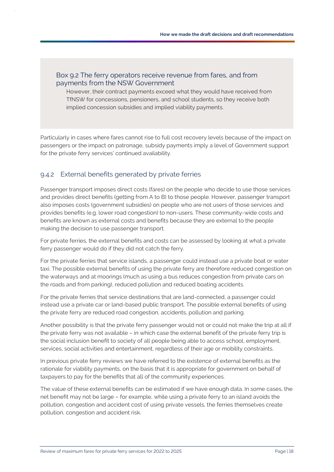### Box 9.2 The ferry operators receive revenue from fares, and from payments from the NSW Government

However, their contract payments exceed what they would have received from TfNSW for concessions, pensioners, and school students, so they receive both implied concession subsidies and implied viability payments.

Particularly in cases where fares cannot rise to full cost recovery levels because of the impact on passengers or the impact on patronage, subsidy payments imply a level of Government support for the private ferry services' continued availability.

### 9.4.2 External benefits generated by private ferries

Passenger transport imposes direct costs (fares) on the people who decide to use those services and provides direct benefits (getting from A to B) to those people. However, passenger transport also imposes costs (government subsidies) on people who are not users of those services and provides benefits (e.g. lower road congestion) to non-users. These community-wide costs and benefits are known as external costs and benefits because they are external to the people making the decision to use passenger transport.

For private ferries, the external benefits and costs can be assessed by looking at what a private ferry passenger would do if they did not catch the ferry.

For the private ferries that service islands, a passenger could instead use a private boat or water taxi. The possible external benefits of using the private ferry are therefore reduced congestion on the waterways and at moorings (much as using a bus reduces congestion from private cars on the roads and from parking), reduced pollution and reduced boating accidents.

For the private ferries that service destinations that are land-connected, a passenger could instead use a private car or land-based public transport. The possible external benefits of using the private ferry are reduced road congestion, accidents, pollution and parking.

Another possibility is that the private ferry passenger would not or could not make the trip at all if the private ferry was not available – in which case the external benefit of the private ferry trip is the social inclusion benefit to society of all people being able to access school, employment, services, social activities and entertainment, regardless of their age or mobility constraints.

In previous private ferry reviews we have referred to the existence of external benefits as the rationale for viability payments, on the basis that it is appropriate for government on behalf of taxpayers to pay for the benefits that all of the community experiences.

The value of these external benefits can be estimated if we have enough data. In some cases, the net benefit may not be large – for example, while using a private ferry to an island avoids the pollution, congestion and accident cost of using private vessels, the ferries themselves create pollution, congestion and accident risk.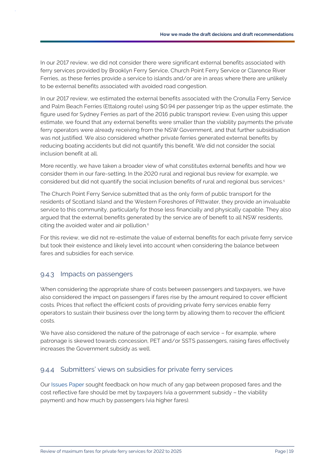In our 2017 review, we did not consider there were significant external benefits associated with ferry services provided by Brooklyn Ferry Service, Church Point Ferry Service or Clarence River Ferries, as these ferries provide a service to islands and/or are in areas where there are unlikely to be external benefits associated with avoided road congestion.

In our 2017 review, we estimated the external benefits associated with the Cronulla Ferry Service and Palm Beach Ferries (Ettalong route) using \$0.94 per passenger trip as the upper estimate, the figure used for Sydney Ferries as part of the 2016 public transport review. Even using this upper estimate, we found that any external benefits were smaller than the viability payments the private ferry operators were already receiving from the NSW Government, and that further subsidisation was not justified. We also considered whether private ferries generated external benefits by reducing boating accidents but did not quantify this benefit. We did not consider the social inclusion benefit at all.

More recently, we have taken a broader view of what constitutes external benefits and how we consider them in our fare-setting. In the 2020 rural and regional bus review for example, we considered but did not quantify the social inclusion benefits of rural and regional bus services.<sup>5</sup>

The Church Point Ferry Service submitted that as the only form of public transport for the residents of Scotland Island and the Western Foreshores of Pittwater, they provide an invaluable service to this community, particularly for those less financially and physically capable. They also argued that the external benefits generated by the service are of benefit to all NSW residents, citing the avoided water and air pollution.<sup>6</sup>

For this review, we did not re-estimate the value of external benefits for each private ferry service but took their existence and likely level into account when considering the balance between fares and subsidies for each service.

#### 9.4.3 Impacts on passengers

When considering the appropriate share of costs between passengers and taxpayers, we have also considered the impact on passengers if fares rise by the amount required to cover efficient costs. Prices that reflect the efficient costs of providing private ferry services enable ferry operators to sustain their business over the long term by allowing them to recover the efficient costs.

We have also considered the nature of the patronage of each service – for example, where patronage is skewed towards concession, PET and/or SSTS passengers, raising fares effectively increases the Government subsidy as well.

### 9.4.4 Submitters' views on subsidies for private ferry services

Our [Issues Paper](https://www.ipart.nsw.gov.au/sites/default/files/cm9_documents/Issues-Paper-Private-Ferries-fares-for-2021-June-2021.PDF) sought feedback on how much of any gap between proposed fares and the cost reflective fare should be met by taxpayers (via a government subsidy – the viability payment) and how much by passengers (via higher fares).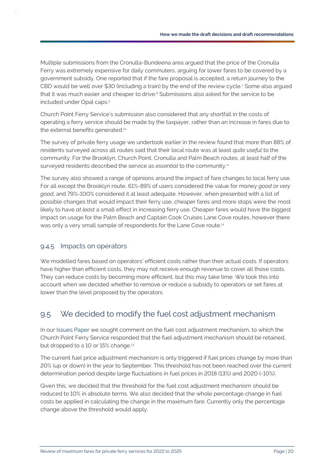Multiple submissions from the Cronulla-Bundeena area argued that the price of the Cronulla Ferry was extremely expensive for daily commuters, arguing for lower fares to be covered by a government subsidy. One reported that if the fare proposal is accepted, a return journey to the CBD would be well over \$30 (including a train) by the end of the review cycle.<sup>7</sup> Some also argued that it was much easier and cheaper to drive.<sup>8</sup> Submissions also asked for the service to be included under Opal caps. 9

Church Point Ferry Service's submission also considered that any shortfall in the costs of operating a ferry service should be made by the taxpayer, rather than an increase in fares due to the external benefits generated.<sup>10</sup>

The survey of private ferry usage we undertook earlier in the review found that more than 88% of residents surveyed across all routes said that their local route was at least *quite useful* to the community. For the Brooklyn, Church Point, Cronulla and Palm Beach routes, at least half of the surveyed residents described the service as *essential* to the community.<sup>11</sup>

The survey also showed a range of opinions around the impact of fare changes to local ferry use. For all except the Brooklyn route, 61%-89% of users considered the value for money *good* or *very good*, and 79%-100% considered it at least adequate. However, when presented with a list of possible changes that would impact their ferry use, cheaper fares and more stops were the most likely to have *at least* a small effect in increasing ferry use. Cheaper fares would have the biggest impact on usage for the Palm Beach and Captain Cook Cruises Lane Cove routes, however there was only a very small sample of respondents for the Lane Cove route.<sup>12</sup>

### 9.4.5 Impacts on operators

We modelled fares based on operators' efficient costs rather than their actual costs. If operators have higher than efficient costs, they may not receive enough revenue to cover all those costs. They can reduce costs by becoming more efficient, but this may take time. We took this into account when we decided whether to remove or reduce a subsidy to operators or set fares at lower than the level proposed by the operators.

### <span id="page-22-0"></span>9.5 We decided to modify the fuel cost adjustment mechanism

In our [Issues Paper](https://www.ipart.nsw.gov.au/sites/default/files/cm9_documents/Issues-Paper-Private-Ferries-fares-for-2021-June-2021.PDF) we sought comment on the fuel cost adjustment mechanism, to which the Church Point Ferry Service responded that the fuel adjustment mechanism should be retained, but dropped to a 10 or 15% change.<sup>13</sup>

The current fuel price adjustment mechanism is only triggered if fuel prices change by more than 20% (up or down) in the year to September. This threshold has not been reached over the current determination period despite large fluctuations in fuel prices in 2018 (13%) and 2020 (-10%).

Given this, we decided that the threshold for the fuel cost adjustment mechanism should be reduced to 10% in absolute terms. We also decided that the whole percentage change in fuel costs be applied in calculating the change in the maximum fare. Currently only the percentage change above the threshold would apply.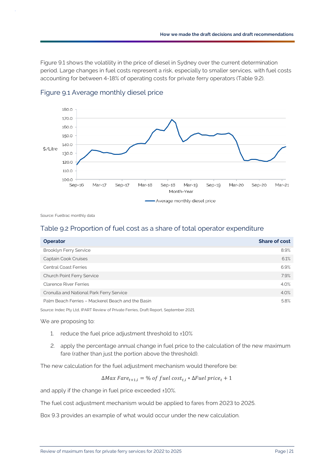[Figure 9.1](#page-23-0) shows the volatility in the price of diesel in Sydney over the current determination period. Large changes in fuel costs represent a risk, especially to smaller services, with fuel costs accounting for between 4-18% of operating costs for private ferry operators [\(Table 9.2\)](#page-23-1).



<span id="page-23-0"></span>

Source: Fueltrac monthly data

#### <span id="page-23-1"></span>Table 9.2 Proportion of fuel cost as a share of total operator expenditure

| <b>Operator</b>                                                                       | <b>Share of cost</b> |
|---------------------------------------------------------------------------------------|----------------------|
| <b>Brooklyn Ferry Service</b>                                                         | 8.9%                 |
| Captain Cook Cruises                                                                  | 6.1%                 |
| <b>Central Coast Ferries</b>                                                          | 6.9%                 |
| Church Point Ferry Service                                                            | 7.9%                 |
| <b>Clarence River Ferries</b>                                                         | 4.0%                 |
| Cronulla and National Park Ferry Service                                              | 4.0%                 |
| Palm Beach Ferries - Mackerel Beach and the Basin                                     | 5.8%                 |
| Source: Indec Pty Ltd, IPART Review of Private Ferries, Draft Report, September 2021. |                      |

We are proposing to:

- 1. reduce the fuel price adjustment threshold to ±10%
- 2. apply the percentage annual change in fuel price to the calculation of the new maximum fare (rather than just the portion above the threshold).

The new calculation for the fuel adjustment mechanism would therefore be:

 $\Delta Max \, Fare_{t+1,i} = \% \text{ of } fuel \, cost_{t,i} * \Delta Fuel \, price_t + 1$ 

and apply if the change in fuel price exceeded ±10%.

The fuel cost adjustment mechanism would be applied to fares from 2023 to 2025.

[Box 9.3](#page-24-1) provides an example of what would occur under the new calculation.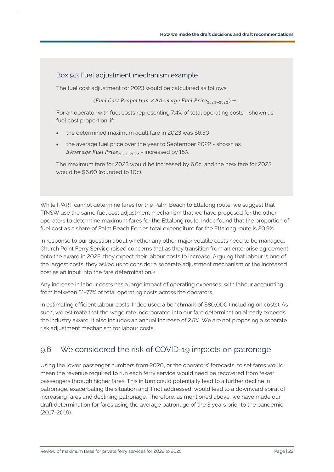### <span id="page-24-1"></span>Box 9.3 Fuel adjustment mechanism example

The fuel cost adjustment for 2023 would be calculated as follows:

(Fuel Cost Proportion  $\times$   $\Delta$ Average Fuel Price<sub>2021-2022</sub>) + 1

For an operator with fuel costs representing 7.4% of total operating costs - shown as fuel cost proportion, if:

- the determined maximum adult fare in 2023 was \$6.50
- the average fuel price over the year to September 2022 shown as Δ*Average Fuel Price<sub>2021-2022</sub>* - increased by 15%

The maximum fare for 2023 would be increased by 6.6c, and the new fare for 2023 would be \$6.60 (rounded to 10c).

While IPART cannot determine fares for the Palm Beach to Ettalong route, we suggest that TfNSW use the same fuel cost adjustment mechanism that we have proposed for the other operators to determine maximum fares for the Ettalong route. Indec found that the proportion of fuel cost as a share of Palm Beach Ferries total expenditure for the Ettalong route is 20.9%.

In response to our question about whether any other major volatile costs need to be managed, Church Point Ferry Service raised concerns that as they transition from an enterprise agreement onto the award in 2022, they expect their labour costs to increase. Arguing that labour is one of the largest costs, they asked us to consider a separate adjustment mechanism or the increased cost as an input into the fare determination.<sup>14</sup>

Any increase in labour costs has a large impact of operating expenses, with labour accounting from between 51-77% of total operating costs across the operators.

In estimating efficient labour costs, Indec used a benchmark of \$80,000 (including on costs). As such, we estimate that the wage rate incorporated into our fare determination already exceeds the industry award. It also includes an annual increase of 2.5%. We are not proposing a separate risk adjustment mechanism for labour costs.

### <span id="page-24-0"></span>9.6 We considered the risk of COVID-19 impacts on patronage

Using the lower passenger numbers from 2020, or the operators' forecasts, to set fares would mean the revenue required to run each ferry service would need be recovered from fewer passengers through higher fares. This in turn could potentially lead to a further decline in patronage, exacerbating the situation and if not addressed, would lead to a downward spiral of increasing fares and declining patronage. Therefore, as mentioned above, we have made our draft determination for fares using the average patronage of the 3 years prior to the pandemic (2017-2019).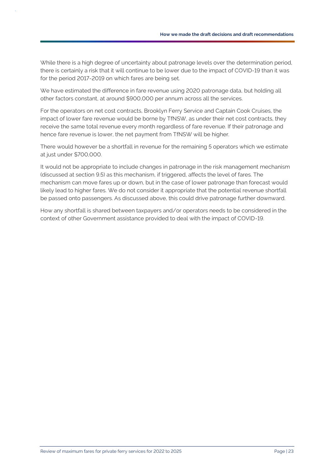While there is a high degree of uncertainty about patronage levels over the determination period, there is certainly a risk that it will continue to be lower due to the impact of COVID-19 than it was for the period 2017-2019 on which fares are being set.

We have estimated the difference in fare revenue using 2020 patronage data, but holding all other factors constant, at around \$900,000 per annum across all the services.

For the operators on net cost contracts, Brooklyn Ferry Service and Captain Cook Cruises, the impact of lower fare revenue would be borne by TfNSW, as under their net cost contracts, they receive the same total revenue every month regardless of fare revenue. If their patronage and hence fare revenue is lower, the net payment from TfNSW will be higher.

There would however be a shortfall in revenue for the remaining 5 operators which we estimate at just under \$700,000.

It would not be appropriate to include changes in patronage in the risk management mechanism (discussed at section [9.5\)](#page-22-0) as this mechanism, if triggered, affects the level of fares. The mechanism can move fares up or down, but in the case of lower patronage than forecast would likely lead to higher fares. We do not consider it appropriate that the potential revenue shortfall be passed onto passengers. As discussed above, this could drive patronage further downward.

How any shortfall is shared between taxpayers and/or operators needs to be considered in the context of other Government assistance provided to deal with the impact of COVID-19.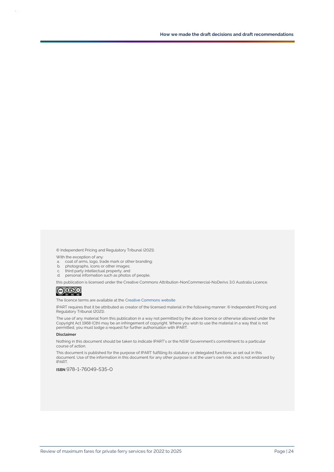© Independent Pricing and Regulatory Tribunal (2021).

With the exception of any:

- a. coat of arms, logo, trade mark or other branding;
- b. photographs, icons or other images;
- c. third party intellectual property; and
- d. personal information such as photos of people,

this publication is licensed under the Creative Commons Attribution-NonCommercial-NoDerivs 3.0 Australia Licence.<br>  $\bigcirc$  0  $\circ$  0

The licence terms are available at th[e Creative Commons](https://creativecommons.org/licenses/by-nc-nd/3.0/au/legalcode) website

IPART requires that it be attributed as creator of the licensed material in the following manner: © Independent Pricing and Regulatory Tribunal (2021).

The use of any material from this publication in a way not permitted by the above licence or otherwise allowed under the Copyright Act 1968 (Cth) may be an infringement of copyright. Where you wish to use the material in a way that is not permitted, you must lodge a request for further authorisation with IPART.

#### **Disclaimer**

Nothing in this document should be taken to indicate IPART's or the NSW Government's commitment to a particular course of action.

This document is published for the purpose of IPART fulfilling its statutory or delegated functions as set out in this document. Use of the information in this document for any other purpose is at the user's own risk, and is not endorsed by IPART.

#### **ISBN** 978-1-76049-535-0